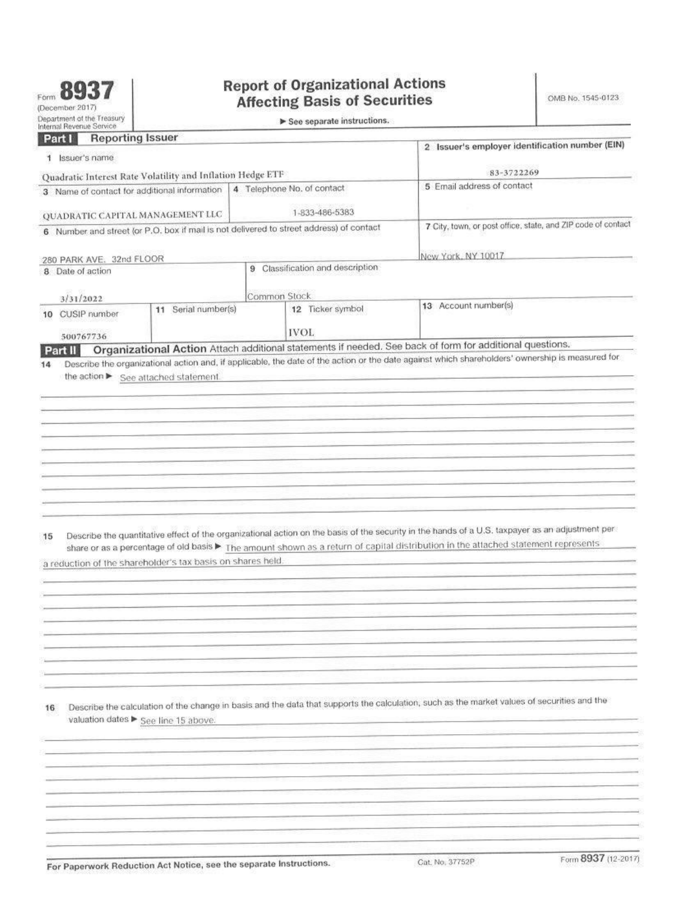| Form |                 |
|------|-----------------|
|      | (December 2017) |

## **Report of Organizational Actions Affecting Basis of Securities**

| Internal Revenue Service.<br><b>Reporting Issuer</b><br>Part I<br>Issuer's name<br>1.<br>Quadratic Interest Rate Volatility and Inflation Hedge ETF<br>4 Telephone No. of contact<br>3 Name of contact for additional information<br>1-833-486-5383<br>QUADRATIC CAPITAL MANAGEMENT LLC<br>6 Number and street (or P.O. box if mail is not delivered to street address) of contact<br>New York, NY 10017<br>280 PARK AVE. 32nd FLOOR<br>9 Classification and description<br>8 Date of action<br>Common Stock<br>3/31/2022<br>13 Account number(s)<br>12 Ticker symbol<br>11 Serial number(s)<br>CUSIP number<br>10<br><b>IVOL</b><br>500767736<br>Organizational Action Attach additional statements if needed. See back of form for additional questions.<br>Part II<br>Describe the organizational action and, if applicable, the date of the action or the date against which shareholders' ownership is measured for<br>14<br>the action ▶ See attached statement.<br>Describe the quantitative effect of the organizational action on the basis of the security in the hands of a U.S. taxpayer as an adjustment per-<br>15<br>share or as a percentage of old basis > The amount shown as a return of capital distribution in the attached statement represents<br>a reduction of the shareholder's tax basis on shares held.<br>Describe the calculation of the change in basis and the data that supports the calculation, such as the market values of securities and the<br>16<br>valuation dates ▶ See line 15 above. |                                                              |  |  |  |
|----------------------------------------------------------------------------------------------------------------------------------------------------------------------------------------------------------------------------------------------------------------------------------------------------------------------------------------------------------------------------------------------------------------------------------------------------------------------------------------------------------------------------------------------------------------------------------------------------------------------------------------------------------------------------------------------------------------------------------------------------------------------------------------------------------------------------------------------------------------------------------------------------------------------------------------------------------------------------------------------------------------------------------------------------------------------------------------------------------------------------------------------------------------------------------------------------------------------------------------------------------------------------------------------------------------------------------------------------------------------------------------------------------------------------------------------------------------------------------------------------------------------------------|--------------------------------------------------------------|--|--|--|
|                                                                                                                                                                                                                                                                                                                                                                                                                                                                                                                                                                                                                                                                                                                                                                                                                                                                                                                                                                                                                                                                                                                                                                                                                                                                                                                                                                                                                                                                                                                                  |                                                              |  |  |  |
|                                                                                                                                                                                                                                                                                                                                                                                                                                                                                                                                                                                                                                                                                                                                                                                                                                                                                                                                                                                                                                                                                                                                                                                                                                                                                                                                                                                                                                                                                                                                  | 2 Issuer's employer identification number (EIN)              |  |  |  |
|                                                                                                                                                                                                                                                                                                                                                                                                                                                                                                                                                                                                                                                                                                                                                                                                                                                                                                                                                                                                                                                                                                                                                                                                                                                                                                                                                                                                                                                                                                                                  | 83-3722269                                                   |  |  |  |
|                                                                                                                                                                                                                                                                                                                                                                                                                                                                                                                                                                                                                                                                                                                                                                                                                                                                                                                                                                                                                                                                                                                                                                                                                                                                                                                                                                                                                                                                                                                                  | 5 Email address of contact                                   |  |  |  |
|                                                                                                                                                                                                                                                                                                                                                                                                                                                                                                                                                                                                                                                                                                                                                                                                                                                                                                                                                                                                                                                                                                                                                                                                                                                                                                                                                                                                                                                                                                                                  |                                                              |  |  |  |
|                                                                                                                                                                                                                                                                                                                                                                                                                                                                                                                                                                                                                                                                                                                                                                                                                                                                                                                                                                                                                                                                                                                                                                                                                                                                                                                                                                                                                                                                                                                                  | 7 City, town, or post office, state, and ZIP code of contact |  |  |  |
|                                                                                                                                                                                                                                                                                                                                                                                                                                                                                                                                                                                                                                                                                                                                                                                                                                                                                                                                                                                                                                                                                                                                                                                                                                                                                                                                                                                                                                                                                                                                  |                                                              |  |  |  |
|                                                                                                                                                                                                                                                                                                                                                                                                                                                                                                                                                                                                                                                                                                                                                                                                                                                                                                                                                                                                                                                                                                                                                                                                                                                                                                                                                                                                                                                                                                                                  |                                                              |  |  |  |
|                                                                                                                                                                                                                                                                                                                                                                                                                                                                                                                                                                                                                                                                                                                                                                                                                                                                                                                                                                                                                                                                                                                                                                                                                                                                                                                                                                                                                                                                                                                                  |                                                              |  |  |  |
|                                                                                                                                                                                                                                                                                                                                                                                                                                                                                                                                                                                                                                                                                                                                                                                                                                                                                                                                                                                                                                                                                                                                                                                                                                                                                                                                                                                                                                                                                                                                  |                                                              |  |  |  |
|                                                                                                                                                                                                                                                                                                                                                                                                                                                                                                                                                                                                                                                                                                                                                                                                                                                                                                                                                                                                                                                                                                                                                                                                                                                                                                                                                                                                                                                                                                                                  |                                                              |  |  |  |
|                                                                                                                                                                                                                                                                                                                                                                                                                                                                                                                                                                                                                                                                                                                                                                                                                                                                                                                                                                                                                                                                                                                                                                                                                                                                                                                                                                                                                                                                                                                                  |                                                              |  |  |  |
|                                                                                                                                                                                                                                                                                                                                                                                                                                                                                                                                                                                                                                                                                                                                                                                                                                                                                                                                                                                                                                                                                                                                                                                                                                                                                                                                                                                                                                                                                                                                  |                                                              |  |  |  |
|                                                                                                                                                                                                                                                                                                                                                                                                                                                                                                                                                                                                                                                                                                                                                                                                                                                                                                                                                                                                                                                                                                                                                                                                                                                                                                                                                                                                                                                                                                                                  |                                                              |  |  |  |
|                                                                                                                                                                                                                                                                                                                                                                                                                                                                                                                                                                                                                                                                                                                                                                                                                                                                                                                                                                                                                                                                                                                                                                                                                                                                                                                                                                                                                                                                                                                                  |                                                              |  |  |  |
|                                                                                                                                                                                                                                                                                                                                                                                                                                                                                                                                                                                                                                                                                                                                                                                                                                                                                                                                                                                                                                                                                                                                                                                                                                                                                                                                                                                                                                                                                                                                  |                                                              |  |  |  |
|                                                                                                                                                                                                                                                                                                                                                                                                                                                                                                                                                                                                                                                                                                                                                                                                                                                                                                                                                                                                                                                                                                                                                                                                                                                                                                                                                                                                                                                                                                                                  |                                                              |  |  |  |
|                                                                                                                                                                                                                                                                                                                                                                                                                                                                                                                                                                                                                                                                                                                                                                                                                                                                                                                                                                                                                                                                                                                                                                                                                                                                                                                                                                                                                                                                                                                                  |                                                              |  |  |  |
|                                                                                                                                                                                                                                                                                                                                                                                                                                                                                                                                                                                                                                                                                                                                                                                                                                                                                                                                                                                                                                                                                                                                                                                                                                                                                                                                                                                                                                                                                                                                  |                                                              |  |  |  |
|                                                                                                                                                                                                                                                                                                                                                                                                                                                                                                                                                                                                                                                                                                                                                                                                                                                                                                                                                                                                                                                                                                                                                                                                                                                                                                                                                                                                                                                                                                                                  |                                                              |  |  |  |
|                                                                                                                                                                                                                                                                                                                                                                                                                                                                                                                                                                                                                                                                                                                                                                                                                                                                                                                                                                                                                                                                                                                                                                                                                                                                                                                                                                                                                                                                                                                                  |                                                              |  |  |  |
|                                                                                                                                                                                                                                                                                                                                                                                                                                                                                                                                                                                                                                                                                                                                                                                                                                                                                                                                                                                                                                                                                                                                                                                                                                                                                                                                                                                                                                                                                                                                  |                                                              |  |  |  |
|                                                                                                                                                                                                                                                                                                                                                                                                                                                                                                                                                                                                                                                                                                                                                                                                                                                                                                                                                                                                                                                                                                                                                                                                                                                                                                                                                                                                                                                                                                                                  |                                                              |  |  |  |
|                                                                                                                                                                                                                                                                                                                                                                                                                                                                                                                                                                                                                                                                                                                                                                                                                                                                                                                                                                                                                                                                                                                                                                                                                                                                                                                                                                                                                                                                                                                                  |                                                              |  |  |  |
|                                                                                                                                                                                                                                                                                                                                                                                                                                                                                                                                                                                                                                                                                                                                                                                                                                                                                                                                                                                                                                                                                                                                                                                                                                                                                                                                                                                                                                                                                                                                  |                                                              |  |  |  |
|                                                                                                                                                                                                                                                                                                                                                                                                                                                                                                                                                                                                                                                                                                                                                                                                                                                                                                                                                                                                                                                                                                                                                                                                                                                                                                                                                                                                                                                                                                                                  |                                                              |  |  |  |
|                                                                                                                                                                                                                                                                                                                                                                                                                                                                                                                                                                                                                                                                                                                                                                                                                                                                                                                                                                                                                                                                                                                                                                                                                                                                                                                                                                                                                                                                                                                                  |                                                              |  |  |  |
|                                                                                                                                                                                                                                                                                                                                                                                                                                                                                                                                                                                                                                                                                                                                                                                                                                                                                                                                                                                                                                                                                                                                                                                                                                                                                                                                                                                                                                                                                                                                  |                                                              |  |  |  |
|                                                                                                                                                                                                                                                                                                                                                                                                                                                                                                                                                                                                                                                                                                                                                                                                                                                                                                                                                                                                                                                                                                                                                                                                                                                                                                                                                                                                                                                                                                                                  |                                                              |  |  |  |
|                                                                                                                                                                                                                                                                                                                                                                                                                                                                                                                                                                                                                                                                                                                                                                                                                                                                                                                                                                                                                                                                                                                                                                                                                                                                                                                                                                                                                                                                                                                                  |                                                              |  |  |  |
|                                                                                                                                                                                                                                                                                                                                                                                                                                                                                                                                                                                                                                                                                                                                                                                                                                                                                                                                                                                                                                                                                                                                                                                                                                                                                                                                                                                                                                                                                                                                  |                                                              |  |  |  |
|                                                                                                                                                                                                                                                                                                                                                                                                                                                                                                                                                                                                                                                                                                                                                                                                                                                                                                                                                                                                                                                                                                                                                                                                                                                                                                                                                                                                                                                                                                                                  |                                                              |  |  |  |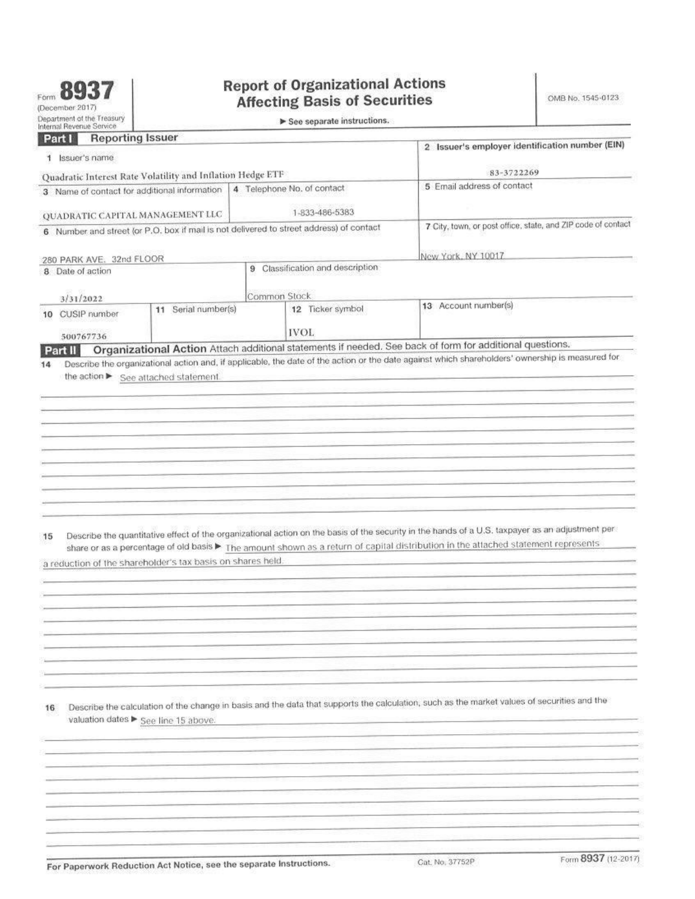## **Organizational Action (continued) Part II**

17 List the applicable Internal Revenue Code section(s) and subsection(s) upon which the tax treatment is based > Pursuant to IRS Section 301(C)(1), the portion of a distribution which is a dividend (as defined under IRC Section 316) is includable in gross income. Pursuant to IRC Section 301(C)(2), the portion of the distribution which is not a dividend shall be applied against and reduce the adjusted basis of the stock.

Can any resulting loss be recognized? > Not applicable to this transaction. No loss would be recognized on the return of capital 18 distribution. The shareholder's cost basis should be adjusted to reflect the return on capital distribution which may affect realized gain or loss upon disposition of the shares.

19 Provide any other information necessary to implement the adjustment, such as the reportable tax year Pursuant to IRC Section 6045. as amended by the Emergency Economic Stabilization Act of 2008, brokers are required to reflect these adjustments in the cost basis reporting for covered securities. If a broker is not required to provide cost basis to a particular shareholder, the cost basis of the shareholder's shares should be adjusted as of the dividend date to reflect the return of capital described above.

| Sign<br>Here | Signature ▶<br>$E_{\text{Fint your name}}$ $E_{\text{Fik}}$ $\ell$ . O /sex | Under penalties of perjury, I declare that I have examined this return, including accompanying schedules and statements, and to the best of my knowledge and<br>belief, it is true, correct, and complete. Declaration of preparer (other than officer) is based on all information of which preparer has any knowledge. |      | Date $05/24/2022$<br>Title> Assistant Treasure |
|--------------|-----------------------------------------------------------------------------|--------------------------------------------------------------------------------------------------------------------------------------------------------------------------------------------------------------------------------------------------------------------------------------------------------------------------|------|------------------------------------------------|
| Paid         | Print/Type preparer's name                                                  | Preparer's signature                                                                                                                                                                                                                                                                                                     | Date | Check $\Box$ if $\Box$ PTIN:<br>self-employed  |
| Preparer     | Firm's name >                                                               | Firm's EIN F                                                                                                                                                                                                                                                                                                             |      |                                                |
| Use Only     | Firm's address >                                                            | Phone no.<br>Send Form 8937 (including accompanying statements) to: Department of the Treasury, Internal Revenue Service, Ogden, UT 84201-0054                                                                                                                                                                           |      |                                                |